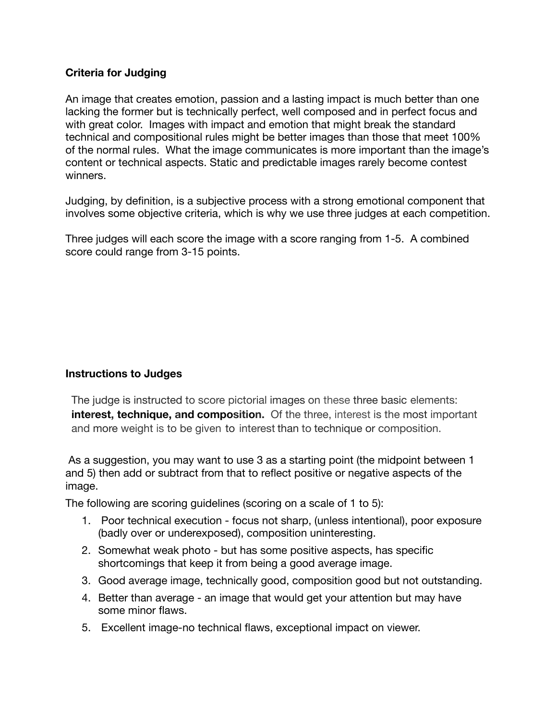## **Criteria for Judging**

An image that creates emotion, passion and a lasting impact is much better than one lacking the former but is technically perfect, well composed and in perfect focus and with great color. Images with impact and emotion that might break the standard technical and compositional rules might be better images than those that meet 100% of the normal rules. What the image communicates is more important than the image's content or technical aspects. Static and predictable images rarely become contest winners.

Judging, by definition, is a subjective process with a strong emotional component that involves some objective criteria, which is why we use three judges at each competition.

Three judges will each score the image with a score ranging from 1-5. A combined score could range from 3-15 points.

## **Instructions to Judges**

The judge is instructed to score pictorial images on these three basic elements: **interest, technique, and composition.** Of the three, interest is the most important and more weight is to be given to interest than to technique or composition.

As a suggestion, you may want to use 3 as a starting point (the midpoint between 1 and 5) then add or subtract from that to reflect positive or negative aspects of the image.

The following are scoring guidelines (scoring on a scale of 1 to 5):

- 1. Poor technical execution focus not sharp, (unless intentional), poor exposure (badly over or underexposed), composition uninteresting.
- 2. Somewhat weak photo but has some positive aspects, has specific shortcomings that keep it from being a good average image.
- 3. Good average image, technically good, composition good but not outstanding.
- 4. Better than average an image that would get your attention but may have some minor flaws.
- 5. Excellent image-no technical flaws, exceptional impact on viewer.